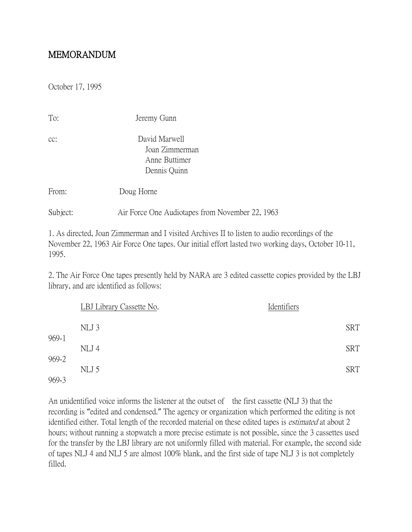## MEMORANDUM

October 17, 1995

| To:      | Jeremy Gunn                                                      |
|----------|------------------------------------------------------------------|
| CC:      | David Marwell<br>Joan Zimmerman<br>Anne Buttimer<br>Dennis Quinn |
| From:    | Doug Horne                                                       |
| Subject: | Air Force One Audiotapes from November 22, 1963                  |

1. As directed, Joan Zimmerman and I visited Archives II to listen to audio recordings of the November 22, 1963 Air Force One tapes. Our initial effort lasted two working days, October 10-11, 1995.

2. The Air Force One tapes presently held by NARA are 3 edited cassette copies provided by the LBJ library, and are identified as follows:

|                | LBJ Library Cassette No. | Identifiers |  |
|----------------|--------------------------|-------------|--|
|                | NLJ 3                    | <b>SRT</b>  |  |
| 969-1          | NLJ 4                    | <b>SRT</b>  |  |
| 969-2<br>969-3 | NLJ 5                    | <b>SRT</b>  |  |

An unidentified voice informs the listener at the outset of the first cassette (NLJ 3) that the recording is "edited and condensed." The agency or organization which performed the editing is not identified either. Total length of the recorded material on these edited tapes is *estimated* at about 2 hours; without running a stopwatch a more precise estimate is not possible, since the 3 cassettes used for the transfer by the LBJ library are not uniformly filled with material. For example, the second side of tapes NLJ 4 and NLJ 5 are almost 100% blank, and the first side of tape NLJ 3 is not completely filled.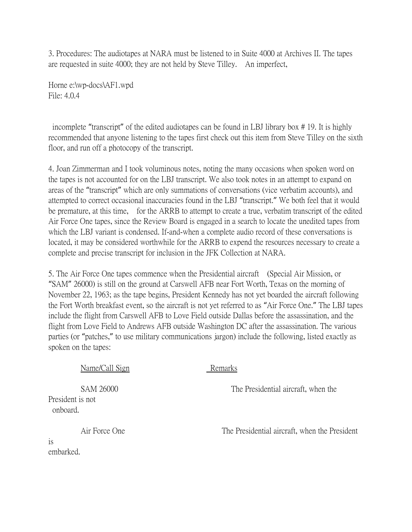3. Procedures: The audiotapes at NARA must be listened to in Suite 4000 at Archives II. The tapes are requested in suite 4000; they are not held by Steve Tilley. An imperfect,

Horne e:\wp-docs\AF1.wpd File: 4.0.4

is

embarked.

incomplete "transcript" of the edited audiotapes can be found in LBJ library box # 19. It is highly recommended that anyone listening to the tapes first check out this item from Steve Tilley on the sixth floor, and run off a photocopy of the transcript.

4. Joan Zimmerman and I took voluminous notes, noting the many occasions when spoken word on the tapes is not accounted for on the LBJ transcript. We also took notes in an attempt to expand on areas of the "transcript" which are only summations of conversations (vice verbatim accounts), and attempted to correct occasional inaccuracies found in the LBJ "transcript." We both feel that it would be premature, at this time, for the ARRB to attempt to create a true, verbatim transcript of the edited Air Force One tapes, since the Review Board is engaged in a search to locate the unedited tapes from which the LBJ variant is condensed. If-and-when a complete audio record of these conversations is located, it may be considered worthwhile for the ARRB to expend the resources necessary to create a complete and precise transcript for inclusion in the JFK Collection at NARA.

5. The Air Force One tapes commence when the Presidential aircraft (Special Air Mission, or "SAM" 26000) is still on the ground at Carswell AFB near Fort Worth, Texas on the morning of November 22, 1963; as the tape begins, President Kennedy has not yet boarded the aircraft following the Fort Worth breakfast event, so the aircraft is not yet referred to as "Air Force One." The LBJ tapes include the flight from Carswell AFB to Love Field outside Dallas before the assassination, and the flight from Love Field to Andrews AFB outside Washington DC after the assassination. The various parties (or "patches," to use military communications jargon) include the following, listed exactly as spoken on the tapes:

| Name/Call Sign                            | Remarks                                       |
|-------------------------------------------|-----------------------------------------------|
| SAM 26000<br>President is not<br>onboard. | The Presidential aircraft, when the           |
| Air Force One<br>10                       | The Presidential aircraft, when the President |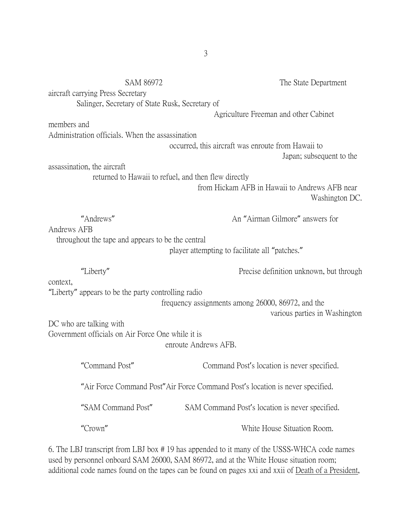|             | <b>SAM 86972</b><br>aircraft carrying Press Secretary<br>Salinger, Secretary of State Rusk, Secretary of | The State Department                                                          |
|-------------|----------------------------------------------------------------------------------------------------------|-------------------------------------------------------------------------------|
|             |                                                                                                          | Agriculture Freeman and other Cabinet                                         |
| members and |                                                                                                          |                                                                               |
|             | Administration officials. When the assassination                                                         |                                                                               |
|             |                                                                                                          | occurred, this aircraft was enroute from Hawaii to                            |
|             |                                                                                                          | Japan; subsequent to the                                                      |
|             | assassination, the aircraft                                                                              |                                                                               |
|             |                                                                                                          | returned to Hawaii to refuel, and then flew directly                          |
|             |                                                                                                          | from Hickam AFB in Hawaii to Andrews AFB near                                 |
|             |                                                                                                          | Washington DC.                                                                |
|             |                                                                                                          |                                                                               |
|             | "Andrews"                                                                                                | An "Airman Gilmore" answers for                                               |
| Andrews AFB |                                                                                                          |                                                                               |
|             | throughout the tape and appears to be the central                                                        |                                                                               |
|             |                                                                                                          | player attempting to facilitate all "patches."                                |
|             |                                                                                                          |                                                                               |
|             |                                                                                                          |                                                                               |
|             | "Liberty"                                                                                                | Precise definition unknown, but through                                       |
| context,    |                                                                                                          |                                                                               |
|             | "Liberty" appears to be the party controlling radio                                                      |                                                                               |
|             |                                                                                                          | frequency assignments among 26000, 86972, and the                             |
|             |                                                                                                          | various parties in Washington                                                 |
|             | DC who are talking with                                                                                  |                                                                               |
|             | Government officials on Air Force One while it is                                                        |                                                                               |
|             |                                                                                                          | enroute Andrews AFB.                                                          |
|             |                                                                                                          |                                                                               |
|             | "Command Post"                                                                                           | Command Post's location is never specified.                                   |
|             |                                                                                                          | "Air Force Command Post"Air Force Command Post's location is never specified. |
|             | "SAM Command Post"                                                                                       | SAM Command Post's location is never specified.                               |
|             |                                                                                                          |                                                                               |
|             | "Crown"                                                                                                  | White House Situation Room.                                                   |

6. The LBJ transcript from LBJ box # 19 has appended to it many of the USSS-WHCA code names used by personnel onboard SAM 26000, SAM 86972, and at the White House situation room; additional code names found on the tapes can be found on pages xxi and xxii of Death of a President,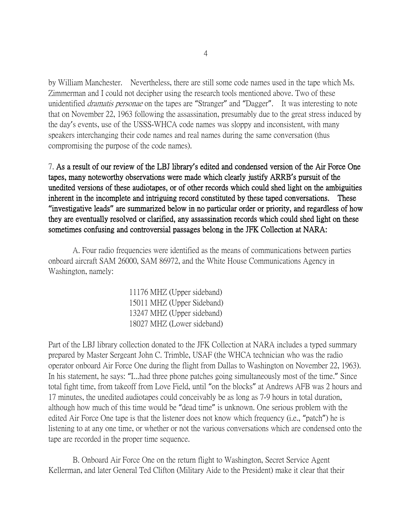by William Manchester. Nevertheless, there are still some code names used in the tape which Ms. Zimmerman and I could not decipher using the research tools mentioned above. Two of these unidentified *dramatis personae* on the tapes are "Stranger" and "Dagger". It was interesting to note that on November 22, 1963 following the assassination, presumably due to the great stress induced by the day's events, use of the USSS-WHCA code names was sloppy and inconsistent, with many speakers interchanging their code names and real names during the same conversation (thus compromising the purpose of the code names).

7. As a result of our review of the LBJ library**'**s edited and condensed version of the Air Force One tapes, many noteworthy observations were made which clearly justify ARRB**'**s pursuit of the unedited versions of these audiotapes, or of other records which could shed light on the ambiguities inherent in the incomplete and intriguing record constituted by these taped conversations. These **"**investigative leads**"** are summarized below in no particular order or priority, and regardless of how they are eventually resolved or clarified, any assassination records which could shed light on these sometimes confusing and controversial passages belong in the JFK Collection at NARA:

 A. Four radio frequencies were identified as the means of communications between parties onboard aircraft SAM 26000, SAM 86972, and the White House Communications Agency in Washington, namely:

> 11176 MHZ (Upper sideband) 15011 MHZ (Upper Sideband) 13247 MHZ (Upper sideband) 18027 MHZ (Lower sideband)

Part of the LBJ library collection donated to the JFK Collection at NARA includes a typed summary prepared by Master Sergeant John C. Trimble, USAF (the WHCA technician who was the radio operator onboard Air Force One during the flight from Dallas to Washington on November 22, 1963). In his statement, he says: "I...had three phone patches going simultaneously most of the time." Since total fight time, from takeoff from Love Field, until "on the blocks" at Andrews AFB was 2 hours and 17 minutes, the unedited audiotapes could conceivably be as long as 7-9 hours in total duration, although how much of this time would be "dead time" is unknown. One serious problem with the edited Air Force One tape is that the listener does not know which frequency (i.e., "patch") he is listening to at any one time, or whether or not the various conversations which are condensed onto the tape are recorded in the proper time sequence.

 B. Onboard Air Force One on the return flight to Washington, Secret Service Agent Kellerman, and later General Ted Clifton (Military Aide to the President) make it clear that their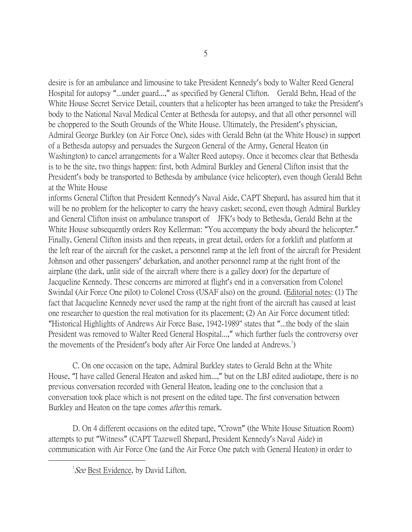desire is for an ambulance and limousine to take President Kennedy's body to Walter Reed General Hospital for autopsy "...under guard...," as specified by General Clifton. Gerald Behn, Head of the White House Secret Service Detail, counters that a helicopter has been arranged to take the President's body to the National Naval Medical Center at Bethesda for autopsy, and that all other personnel will be choppered to the South Grounds of the White House. Ultimately, the President's physician, Admiral George Burkley (on Air Force One), sides with Gerald Behn (at the White House) in support of a Bethesda autopsy and persuades the Surgeon General of the Army, General Heaton (in Washington) to cancel arrangements for a Walter Reed autopsy. Once it becomes clear that Bethesda is to be the site, two things happen: first, both Admiral Burkley and General Clifton insist that the President's body be transported to Bethesda by ambulance (vice helicopter), even though Gerald Behn at the White House

informs General Clifton that President Kennedy's Naval Aide, CAPT Shepard, has assured him that it will be no problem for the helicopter to carry the heavy casket; second, even though Admiral Burkley and General Clifton insist on ambulance transport of JFK's body to Bethesda, Gerald Behn at the White House subsequently orders Roy Kellerman: "You accompany the body aboard the helicopter." Finally, General Clifton insists and then repeats, in great detail, orders for a forklift and platform at the left rear of the aircraft for the casket, a personnel ramp at the left front of the aircraft for President Johnson and other passengers' debarkation, and another personnel ramp at the right front of the airplane (the dark, unlit side of the aircraft where there is a galley door) for the departure of Jacqueline Kennedy. These concerns are mirrored at flight's end in a conversation from Colonel Swindal (Air Force One pilot) to Colonel Cross (USAF also) on the ground. (Editorial notes: (1) The fact that Jacqueline Kennedy never used the ramp at the right front of the aircraft has caused at least one researcher to question the real motivation for its placement; (2) An Air Force document titled: "Historical Highlights of Andrews Air Force Base, 1942-1989" states that "...the body of the slain President was removed to Walter Reed General Hospital...," which further fuels the controversy over the movements of the President's body after Air Force One landed at Andrews.<sup>[1](#page-4-0)</sup>)

 C. On one occasion on the tape, Admiral Burkley states to Gerald Behn at the White House, "I have called General Heaton and asked him...," but on the LBJ edited audiotape, there is no previous conversation recorded with General Heaton, leading one to the conclusion that a conversation took place which is not present on the edited tape. The first conversation between Burkley and Heaton on the tape comes *after* this remark.

 D. On 4 different occasions on the edited tape, "Crown" (the White House Situation Room) attempts to put "Witness" (CAPT Tazewell Shepard, President Kennedy's Naval Aide) in communication with Air Force One (and the Air Force One patch with General Heaton) in order to

<span id="page-4-0"></span> $\overline{\phantom{a}}$  ${}^{1}$ *See* Best Evidence, by David Lifton.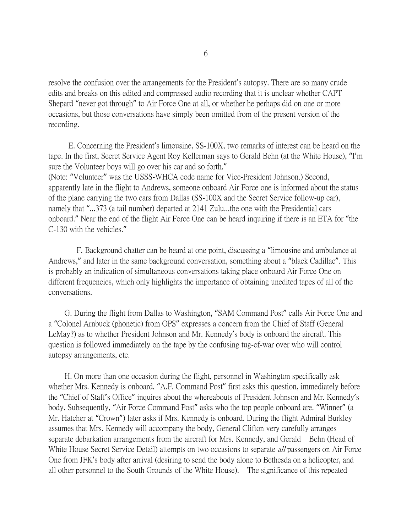resolve the confusion over the arrangements for the President's autopsy. There are so many crude edits and breaks on this edited and compressed audio recording that it is unclear whether CAPT Shepard "never got through" to Air Force One at all, or whether he perhaps did on one or more occasions, but those conversations have simply been omitted from of the present version of the recording.

 E. Concerning the President's limousine, SS-100X, two remarks of interest can be heard on the tape. In the first, Secret Service Agent Roy Kellerman says to Gerald Behn (at the White House), "I'm sure the Volunteer boys will go over his car and so forth." (Note: "Volunteer" was the USSS-WHCA code name for Vice-President Johnson.) Second, apparently late in the flight to Andrews, someone onboard Air Force one is informed about the status of the plane carrying the two cars from Dallas (SS-100X and the Secret Service follow-up car), namely that "...373 (a tail number) departed at 2141 Zulu...the one with the Presidential cars onboard." Near the end of the flight Air Force One can be heard inquiring if there is an ETA for "the C-130 with the vehicles."

 F. Background chatter can be heard at one point, discussing a "limousine and ambulance at Andrews," and later in the same background conversation, something about a "black Cadillac". This is probably an indication of simultaneous conversations taking place onboard Air Force One on different frequencies, which only highlights the importance of obtaining unedited tapes of all of the conversations.

 G. During the flight from Dallas to Washington, "SAM Command Post" calls Air Force One and a "Colonel Arnbuck (phonetic) from OPS" expresses a concern from the Chief of Staff (General LeMay?) as to whether President Johnson and Mr. Kennedy's body is onboard the aircraft. This question is followed immediately on the tape by the confusing tug-of-war over who will control autopsy arrangements, etc.

 H. On more than one occasion during the flight, personnel in Washington specifically ask whether Mrs. Kennedy is onboard. "A.F. Command Post" first asks this question, immediately before the "Chief of Staff's Office" inquires about the whereabouts of President Johnson and Mr. Kennedy's body. Subsequently, "Air Force Command Post" asks who the top people onboard are. "Winner" (a Mr. Hatcher at "Crown") later asks if Mrs. Kennedy is onboard. During the flight Admiral Burkley assumes that Mrs. Kennedy will accompany the body, General Clifton very carefully arranges separate debarkation arrangements from the aircraft for Mrs. Kennedy, and Gerald Behn (Head of White House Secret Service Detail) attempts on two occasions to separate *all* passengers on Air Force One from JFK's body after arrival (desiring to send the body alone to Bethesda on a helicopter, and all other personnel to the South Grounds of the White House). The significance of this repeated